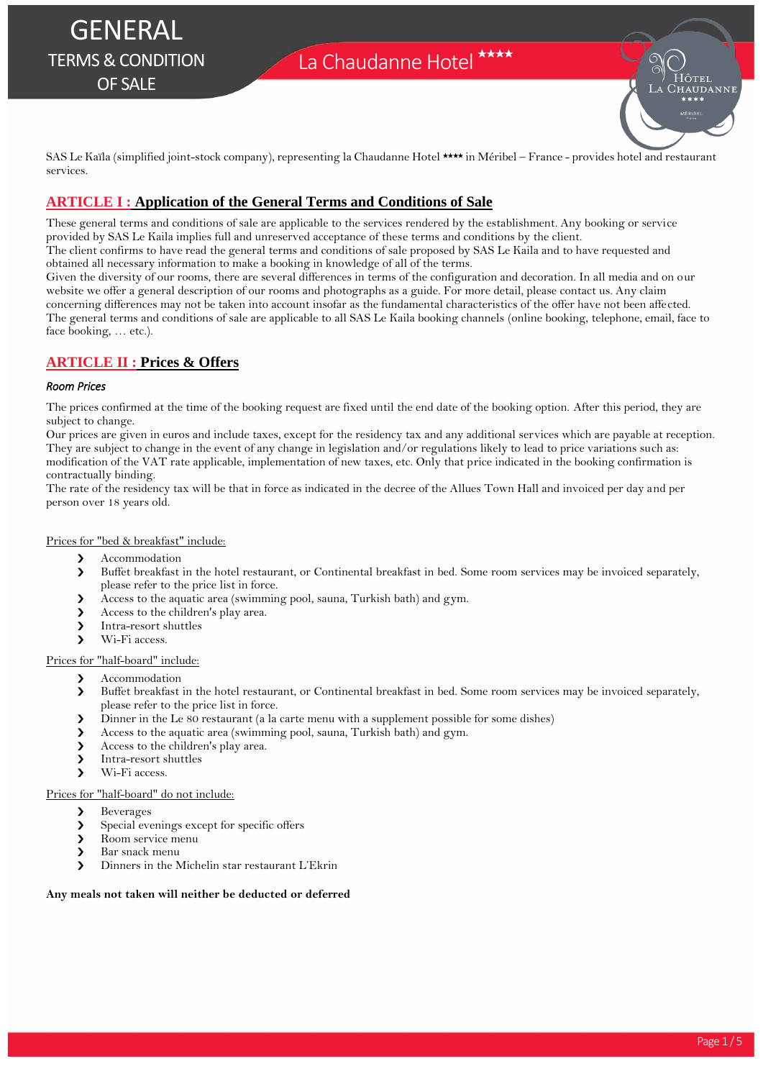# La Chaudanne Hotel \*\*\*\*



SAS Le Kaïla (simplified joint-stock company), representing la Chaudanne Hotel \*\*\*\* in Méribel – France - provides hotel and restaurant services.

# **ARTICLE I : Application of the General Terms and Conditions of Sale**

These general terms and conditions of sale are applicable to the services rendered by the establishment. Any booking or service provided by SAS Le Kaila implies full and unreserved acceptance of these terms and conditions by the client. The client confirms to have read the general terms and conditions of sale proposed by SAS Le Kaila and to have requested and

obtained all necessary information to make a booking in knowledge of all of the terms.

Given the diversity of our rooms, there are several differences in terms of the configuration and decoration. In all media and on our website we offer a general description of our rooms and photographs as a guide. For more detail, please contact us. Any claim concerning differences may not be taken into account insofar as the fundamental characteristics of the offer have not been affected. The general terms and conditions of sale are applicable to all SAS Le Kaila booking channels (online booking, telephone, email, face to face booking, … etc.).

# **ARTICLE II : Prices & Offers**

## *Room Prices*

The prices confirmed at the time of the booking request are fixed until the end date of the booking option. After this period, they are subject to change.

Our prices are given in euros and include taxes, except for the residency tax and any additional services which are payable at reception. They are subject to change in the event of any change in legislation and/or regulations likely to lead to price variations such as: modification of the VAT rate applicable, implementation of new taxes, etc. Only that price indicated in the booking confirmation is contractually binding.

The rate of the residency tax will be that in force as indicated in the decree of the Allues Town Hall and invoiced per day and per person over 18 years old.

## Prices for "bed & breakfast" include:

- **A**ccommodation
- Buffet breakfast in the hotel restaurant, or Continental breakfast in bed. Some room services may be invoiced separately, please refer to the price list in force.
- Access to the aquatic area (swimming pool, sauna, Turkish bath) and gym.
- Access to the children's play area.
- > Intra-resort shuttles
- Wi-Fi access

## Prices for "half-board" include:

- > Accommodation
- Buffet breakfast in the hotel restaurant, or Continental breakfast in bed. Some room services may be invoiced separately, please refer to the price list in force.
- Dinner in the Le 80 restaurant (a la carte menu with a supplement possible for some dishes)
- Access to the aquatic area (swimming pool, sauna, Turkish bath) and gym.
- Access to the children's play area.
- > Intra-resort shuttles
- Wi-Fi access.

### Prices for "half-board" do not include:

- > Beverages
- Special evenings except for specific offers
- Room service menu
- > Bar snack menu
- Dinners in the Michelin star restaurant L'Ekrin

### **Any meals not taken will neither be deducted or deferred**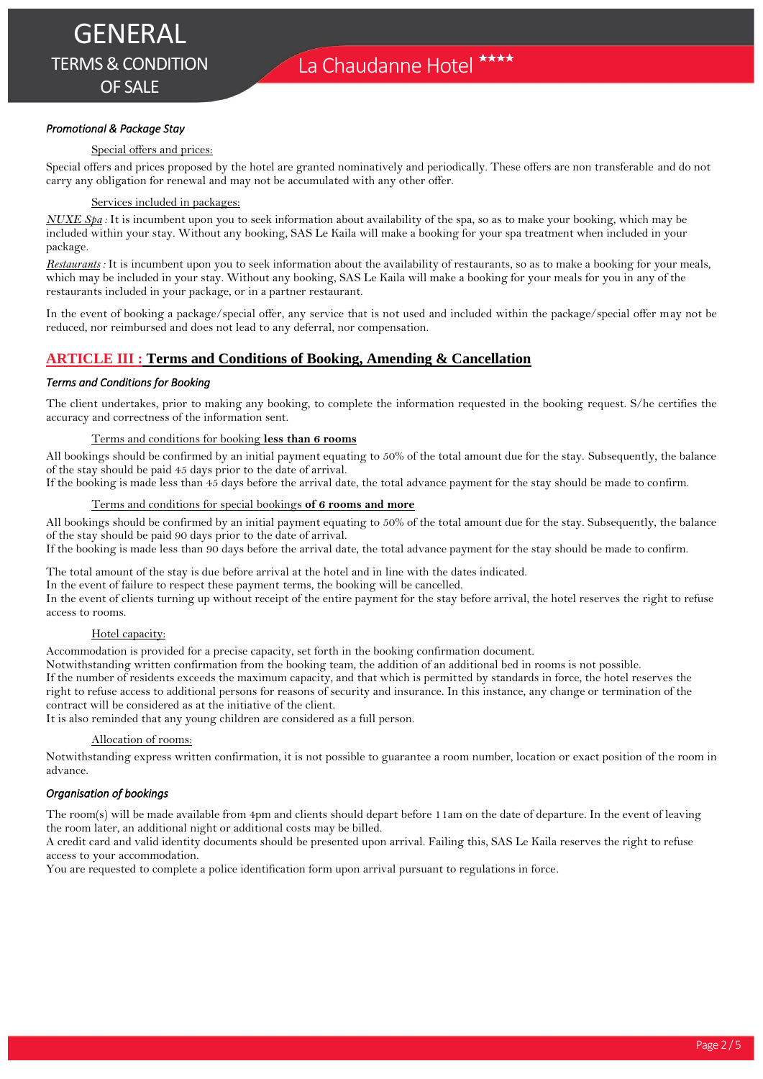## *Promotional & Package Stay*

## Special offers and prices:

Special offers and prices proposed by the hotel are granted nominatively and periodically. These offers are non transferable and do not carry any obligation for renewal and may not be accumulated with any other offer.

## Services included in packages:

*NUXE Spa :* It is incumbent upon you to seek information about availability of the spa, so as to make your booking, which may be included within your stay. Without any booking, SAS Le Kaila will make a booking for your spa treatment when included in your package.

*Restaurants :* It is incumbent upon you to seek information about the availability of restaurants, so as to make a booking for your meals, which may be included in your stay. Without any booking, SAS Le Kaila will make a booking for your meals for you in any of the restaurants included in your package, or in a partner restaurant.

In the event of booking a package/special offer, any service that is not used and included within the package/special offer may not be reduced, nor reimbursed and does not lead to any deferral, nor compensation.

# **ARTICLE III : Terms and Conditions of Booking, Amending & Cancellation**

## *Terms and Conditions for Booking*

The client undertakes, prior to making any booking, to complete the information requested in the booking request. S/he certifies the accuracy and correctness of the information sent.

### Terms and conditions for booking **less than 6 rooms**

All bookings should be confirmed by an initial payment equating to 50% of the total amount due for the stay. Subsequently, the balance of the stay should be paid 45 days prior to the date of arrival.

If the booking is made less than 45 days before the arrival date, the total advance payment for the stay should be made to confirm.

### Terms and conditions for special bookings **of 6 rooms and more**

All bookings should be confirmed by an initial payment equating to 50% of the total amount due for the stay. Subsequently, the balance of the stay should be paid 90 days prior to the date of arrival.

If the booking is made less than 90 days before the arrival date, the total advance payment for the stay should be made to confirm.

The total amount of the stay is due before arrival at the hotel and in line with the dates indicated.

In the event of failure to respect these payment terms, the booking will be cancelled.

In the event of clients turning up without receipt of the entire payment for the stay before arrival, the hotel reserves the right to refuse access to rooms.

## Hotel capacity:

Accommodation is provided for a precise capacity, set forth in the booking confirmation document.

Notwithstanding written confirmation from the booking team, the addition of an additional bed in rooms is not possible.

If the number of residents exceeds the maximum capacity, and that which is permitted by standards in force, the hotel reserves the right to refuse access to additional persons for reasons of security and insurance. In this instance, any change or termination of the contract will be considered as at the initiative of the client.

It is also reminded that any young children are considered as a full person.

### Allocation of rooms:

Notwithstanding express written confirmation, it is not possible to guarantee a room number, location or exact position of the room in advance.

## *Organisation of bookings*

The room(s) will be made available from 4pm and clients should depart before 11am on the date of departure. In the event of leaving the room later, an additional night or additional costs may be billed.

A credit card and valid identity documents should be presented upon arrival. Failing this, SAS Le Kaila reserves the right to refuse access to your accommodation.

You are requested to complete a police identification form upon arrival pursuant to regulations in force.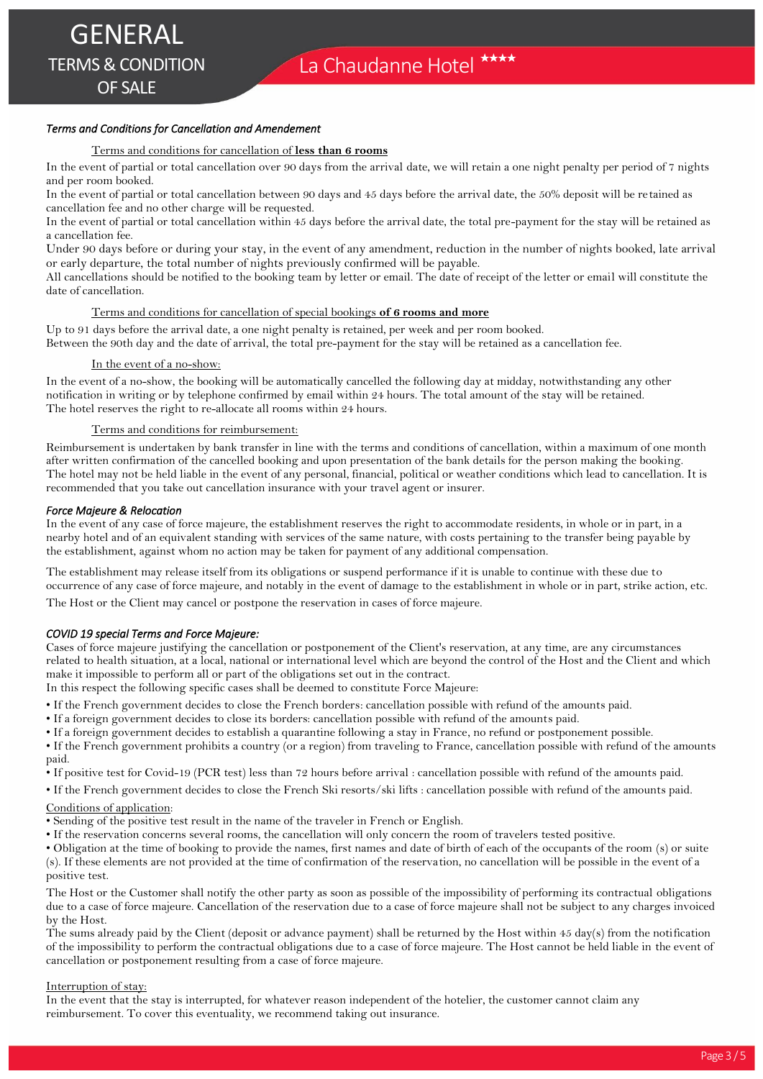## *Terms and Conditions for Cancellation and Amendement*

## Terms and conditions for cancellation of **less than 6 rooms**

In the event of partial or total cancellation over 90 days from the arrival date, we will retain a one night penalty per period of 7 nights and per room booked.

In the event of partial or total cancellation between 90 days and 45 days before the arrival date, the 50% deposit will be retained as cancellation fee and no other charge will be requested.

In the event of partial or total cancellation within 45 days before the arrival date, the total pre-payment for the stay will be retained as a cancellation fee.

Under 90 days before or during your stay, in the event of any amendment, reduction in the number of nights booked, late arrival or early departure, the total number of nights previously confirmed will be payable.

All cancellations should be notified to the booking team by letter or email. The date of receipt of the letter or email will constitute the date of cancellation.

### Terms and conditions for cancellation of special bookings **of 6 rooms and more**

Up to 91 days before the arrival date, a one night penalty is retained, per week and per room booked. Between the 90th day and the date of arrival, the total pre-payment for the stay will be retained as a cancellation fee.

#### In the event of a no-show:

In the event of a no-show, the booking will be automatically cancelled the following day at midday, notwithstanding any other notification in writing or by telephone confirmed by email within 24 hours. The total amount of the stay will be retained. The hotel reserves the right to re-allocate all rooms within 24 hours.

## Terms and conditions for reimbursement:

Reimbursement is undertaken by bank transfer in line with the terms and conditions of cancellation, within a maximum of one month after written confirmation of the cancelled booking and upon presentation of the bank details for the person making the booking. The hotel may not be held liable in the event of any personal, financial, political or weather conditions which lead to cancellation. It is recommended that you take out cancellation insurance with your travel agent or insurer.

#### *Force Majeure & Relocation*

In the event of any case of force majeure, the establishment reserves the right to accommodate residents, in whole or in part, in a nearby hotel and of an equivalent standing with services of the same nature, with costs pertaining to the transfer being payable by the establishment, against whom no action may be taken for payment of any additional compensation.

The establishment may release itself from its obligations or suspend performance if it is unable to continue with these due to occurrence of any case of force majeure, and notably in the event of damage to the establishment in whole or in part, strike action, etc.

The Host or the Client may cancel or postpone the reservation in cases of force majeure.

### *COVID 19 special Terms and Force Majeure:*

Cases of force majeure justifying the cancellation or postponement of the Client's reservation, at any time, are any circumstances related to health situation, at a local, national or international level which are beyond the control of the Host and the Client and which make it impossible to perform all or part of the obligations set out in the contract.

In this respect the following specific cases shall be deemed to constitute Force Majeure:

- If the French government decides to close the French borders: cancellation possible with refund of the amounts paid.
- If a foreign government decides to close its borders: cancellation possible with refund of the amounts paid.
- If a foreign government decides to establish a quarantine following a stay in France, no refund or postponement possible. • If the French government prohibits a country (or a region) from traveling to France, cancellation possible with refund of the amounts
- paid.
- If positive test for Covid-19 (PCR test) less than 72 hours before arrival : cancellation possible with refund of the amounts paid.
- If the French government decides to close the French Ski resorts/ski lifts : cancellation possible with refund of the amounts paid.

### Conditions of application:

- Sending of the positive test result in the name of the traveler in French or English.
- If the reservation concerns several rooms, the cancellation will only concern the room of travelers tested positive.

• Obligation at the time of booking to provide the names, first names and date of birth of each of the occupants of the room (s) or suite (s). If these elements are not provided at the time of confirmation of the reservation, no cancellation will be possible in the event of a positive test.

The Host or the Customer shall notify the other party as soon as possible of the impossibility of performing its contractual obligations due to a case of force majeure. Cancellation of the reservation due to a case of force majeure shall not be subject to any charges invoiced by the Host.

The sums already paid by the Client (deposit or advance payment) shall be returned by the Host within 45 day(s) from the notification of the impossibility to perform the contractual obligations due to a case of force majeure. The Host cannot be held liable in the event of cancellation or postponement resulting from a case of force majeure.

#### Interruption of stay:

In the event that the stay is interrupted, for whatever reason independent of the hotelier, the customer cannot claim any reimbursement. To cover this eventuality, we recommend taking out insurance.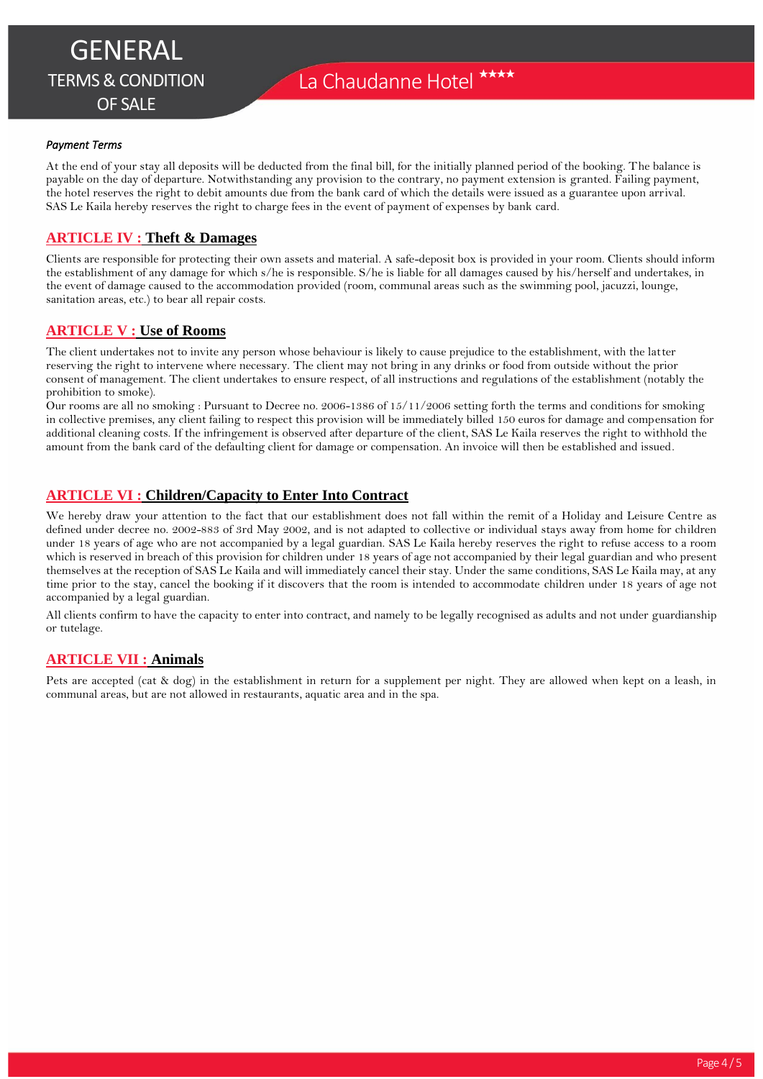## *Payment Terms*

At the end of your stay all deposits will be deducted from the final bill, for the initially planned period of the booking. The balance is payable on the day of departure. Notwithstanding any provision to the contrary, no payment extension is granted. Failing payment, the hotel reserves the right to debit amounts due from the bank card of which the details were issued as a guarantee upon arrival. SAS Le Kaila hereby reserves the right to charge fees in the event of payment of expenses by bank card.

## **ARTICLE IV : Theft & Damages**

Clients are responsible for protecting their own assets and material. A safe-deposit box is provided in your room. Clients should inform the establishment of any damage for which s/he is responsible. S/he is liable for all damages caused by his/herself and undertakes, in the event of damage caused to the accommodation provided (room, communal areas such as the swimming pool, jacuzzi, lounge, sanitation areas, etc.) to bear all repair costs.

## **ARTICLE V : Use of Rooms**

The client undertakes not to invite any person whose behaviour is likely to cause prejudice to the establishment, with the latter reserving the right to intervene where necessary. The client may not bring in any drinks or food from outside without the prior consent of management. The client undertakes to ensure respect, of all instructions and regulations of the establishment (notably the prohibition to smoke).

Our rooms are all no smoking : Pursuant to Decree no. 2006-1386 of 15/11/2006 setting forth the terms and conditions for smoking in collective premises, any client failing to respect this provision will be immediately billed 150 euros for damage and compensation for additional cleaning costs. If the infringement is observed after departure of the client, SAS Le Kaila reserves the right to withhold the amount from the bank card of the defaulting client for damage or compensation. An invoice will then be established and issued.

# **ARTICLE VI : Children/Capacity to Enter Into Contract**

We hereby draw your attention to the fact that our establishment does not fall within the remit of a Holiday and Leisure Centre as defined under decree no. 2002-883 of 3rd May 2002, and is not adapted to collective or individual stays away from home for children under 18 years of age who are not accompanied by a legal guardian. SAS Le Kaila hereby reserves the right to refuse access to a room which is reserved in breach of this provision for children under 18 years of age not accompanied by their legal guardian and who present themselves at the reception of SAS Le Kaila and will immediately cancel their stay. Under the same conditions, SAS Le Kaila may, at any time prior to the stay, cancel the booking if it discovers that the room is intended to accommodate children under 18 years of age not accompanied by a legal guardian.

All clients confirm to have the capacity to enter into contract, and namely to be legally recognised as adults and not under guardianship or tutelage.

## **ARTICLE VII : Animals**

Pets are accepted (cat & dog) in the establishment in return for a supplement per night. They are allowed when kept on a leash, in communal areas, but are not allowed in restaurants, aquatic area and in the spa.